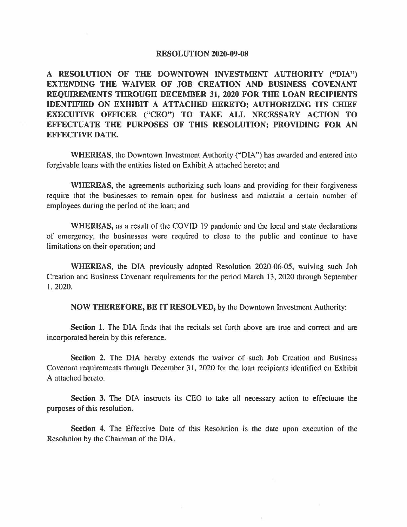## **RESOLUTION 2020-09-08**

**A RESOLUTION OF THE DOWNTOWN INVESTMENT AUTHORITY ("DIA") EXTENDING THE WAIVER OF JOB CREATION AND BUSINESS COVENANT REQUIREMENTS THROUGH DECEMBER 31, 2020 FOR THE LOAN RECIPIENTS IDENTIFIED ON EXHIBIT A ATTACHED HERETO; AUTHORIZING ITS CHIEF EXECUTIVE OFFICER ("CEO") TO TAKE ALL NECESSARY ACTION TO EFFECTUATE THE PURPOSES OF THIS RESOLUTION; PROVIDING FOR AN EFFECTIVE DATE.** 

**WHEREAS,** the Downtown Investment Authority ("DIA") has awarded and entered into forgivable loans with the entities listed on Exhibit A attached hereto; and

**WHEREAS,** the agreements authorizing such loans and providing for their forgiveness require that the businesses to remain open for business and maintain a certain number of employees during the period of the loan; and

**WHEREAS,** as a result of the COVID 19 pandemic and the local and state declarations of emergency, the businesses were required to close to the public and continue to have limitations on their operation; and

**WHEREAS,** the DIA previously adopted Resolution 2020-06-05, waiving such Job Creation and Business Covenant requirements for the period March 13, 2020 through September I, 2020.

**NOW THEREFORE, BE IT RESOLVED,** by the Downtown Investment Authority:

**Section 1.** The DIA finds that the recitals set forth above are true and correct and are incorporated herein by this reference.

Section 2. The DIA hereby extends the waiver of such Job Creation and Business Covenant requirements through December 31, 2020 for the loan recipients identified on Exhibit A attached hereto.

**Section 3.** The DIA instructs its CEO to take all necessary action to effectuate the purposes of this resolution.

**Section 4.** The Effective Date of this Resolution is the date upon execution of the Resolution by the Chairman of the DIA.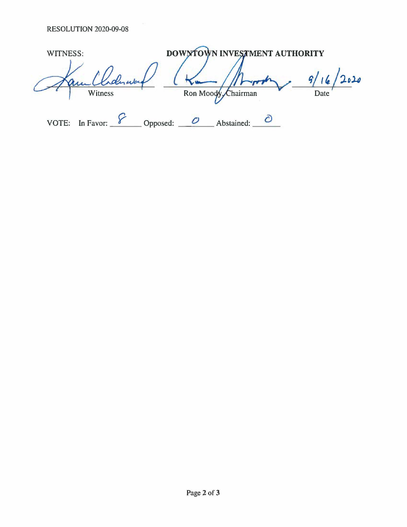| WITNESS:           | DOWNTOWN INVESTMENT AUTHORITY |      |
|--------------------|-------------------------------|------|
| derward<br>Witness | Ron Moody, Chairman           | Date |
| In Favor:<br>VOTE: | Opposed:<br>Abstained:        |      |